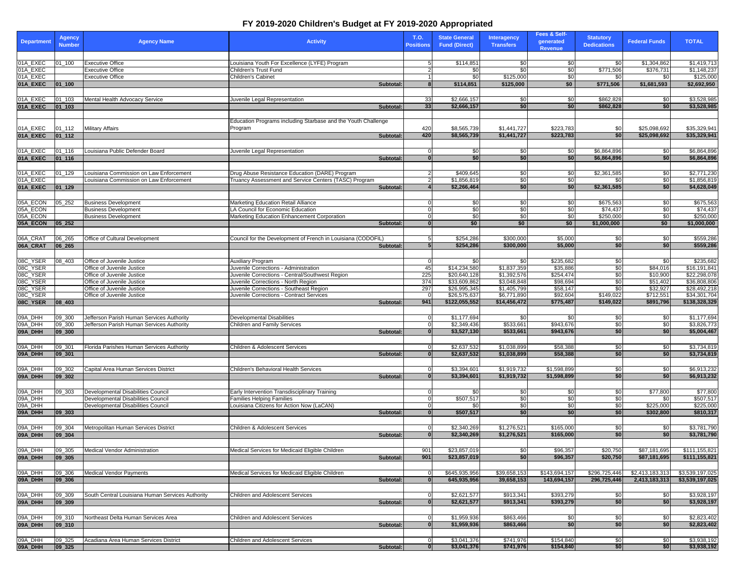## **FY 2019-2020 Children's Budget at FY 2019-2020 Appropriated**

|                      | Agency        |                                                                          |                                                                        | T.O.                    | <b>State General</b> | Interagency      | Fees & Self-  | <b>Statutory</b>   |                      |                          |
|----------------------|---------------|--------------------------------------------------------------------------|------------------------------------------------------------------------|-------------------------|----------------------|------------------|---------------|--------------------|----------------------|--------------------------|
| <b>Department</b>    | <b>Number</b> | <b>Agency Name</b>                                                       | <b>Activity</b>                                                        | <b>Positions</b>        | <b>Fund (Direct)</b> | <b>Transfers</b> | generated     | <b>Dedications</b> | <b>Federal Funds</b> | <b>TOTAL</b>             |
|                      |               |                                                                          |                                                                        |                         |                      |                  | Revenue       |                    |                      |                          |
|                      |               |                                                                          |                                                                        |                         |                      |                  |               |                    |                      |                          |
| 01A_EXEC             | 01 100        | <b>Executive Office</b>                                                  | Louisiana Youth For Excellence (LYFE) Program                          | 5 <sub>l</sub>          | \$114,85             | \$0              | \$0           | \$0                | \$1,304,862          | \$1,419,713              |
| 01A_EXEC<br>01A_EXEC |               | Executive Office<br><b>Executive Office</b>                              | Children's Trust Fund<br>Children's Cabinet                            | $\overline{2}$          | \$0<br>\$0           | \$0<br>\$125,000 | \$0<br>\$0    | \$771,506<br>\$0   | \$376,731<br>\$0     | \$1,148,237<br>\$125,000 |
| 01A_EXEC             | 01_100        |                                                                          | Subtotal:                                                              | -1<br>8                 | \$114,851            | \$125,000        | \$0           | \$771,506          | \$1,681,593          | \$2.692.950              |
|                      |               |                                                                          |                                                                        |                         |                      |                  |               |                    |                      |                          |
| 01A_EXEC             | $01 - 103$    |                                                                          |                                                                        | 33                      | \$2,666,157          |                  |               | \$862,828          |                      | \$3,528,985              |
| 01A_EXEC             | $01_103$      | Mental Health Advocacy Service                                           | Juvenile Legal Representation<br>Subtotal:                             | 33                      | \$2,666,157          | \$0<br>\$0       | \$0<br>\$0    | \$862,828          | \$0<br>\$0           | \$3,528,985              |
|                      |               |                                                                          |                                                                        |                         |                      |                  |               |                    |                      |                          |
|                      |               |                                                                          | Education Programs including Starbase and the Youth Challenge          |                         |                      |                  |               |                    |                      |                          |
| 01A_EXEC             | 01_112        | Military Affairs                                                         | Program                                                                | 420                     | \$8,565,739          | \$1,441,727      | \$223,783     | \$0                | \$25,098,692         | \$35,329,941             |
| 01A_EXEC             | 01 112        |                                                                          | Subtotal:                                                              | 420                     | \$8,565,739          | \$1,441,727      | \$223,783     | \$0                | \$25.098.692         | \$35,329,941             |
|                      |               |                                                                          |                                                                        |                         |                      |                  |               |                    |                      |                          |
| 01A_EXEC             | 01_116        | Louisiana Public Defender Board                                          | Juvenile Legal Representation                                          | 0                       | \$0                  | \$0              | \$0           | \$6.864.896        | \$0                  | \$6,864,896              |
| 01A_EXEC             | 01_116        |                                                                          | Subtotal:                                                              | $\overline{\mathbf{0}}$ | \$0                  | \$0              | \$0           | \$6,864,896        | \$0                  | \$6,864,896              |
|                      |               |                                                                          |                                                                        |                         |                      |                  |               |                    |                      |                          |
| 01A_EXEC             | 01_129        | Louisiana Commission on Law Enforcement                                  | Drug Abuse Resistance Education (DARE) Program                         | 2                       | \$409,645            | \$0              | \$0           | \$2,361,585        | \$0                  | \$2,771,230              |
| 01A_EXEC             |               | Louisiana Commission on Law Enforcement                                  | Truancy Assessment and Service Centers (TASC) Program                  | 2                       | \$1,856,81           | \$0              | \$0           | \$0                | \$0                  | \$1,856,819              |
| 01A_EXEC             | 01 129        |                                                                          | Subtotal:                                                              |                         | \$2,266,464          | \$0              | \$0           | \$2,361,585        | \$0                  | \$4,628,049              |
|                      |               |                                                                          |                                                                        |                         |                      |                  |               |                    |                      |                          |
| 05A_ECON             | $05 - 252$    | <b>Business Development</b>                                              | Marketing Education Retail Alliance                                    | 0                       | \$0                  | \$0              | \$0           | \$675,563          | \$0                  | \$675,563                |
| 05A_ECON             |               | <b>Business Development</b>                                              | LA Council for Economic Education                                      | 0                       | \$0                  | \$0              | \$0           | \$74,437           | \$0                  | \$74,437                 |
| 05A_ECON             |               | <b>Business Development</b>                                              | Marketing Education Enhancement Corporation                            | 0                       | \$0                  | \$0              | \$0           | \$250,000          | \$0                  | \$250,000                |
| 05A_ECON             | $05 - 252$    |                                                                          | <b>Subtotal</b>                                                        |                         | \$0                  | \$0              | \$0           | \$1,000,000        | \$0                  | \$1,000,000              |
|                      |               |                                                                          |                                                                        |                         |                      |                  |               |                    |                      |                          |
| 06A_CRA              | 06_265        | Office of Cultural Development                                           | Council for the Development of French in Louisiana (CODOFIL)           | 5                       | \$254,286            | \$300,000        | \$5,000       | \$0                | \$0                  | \$559,286                |
| 06A_CRAT             | 06_265        |                                                                          | Subtotal:                                                              | 5                       | \$254,286            | \$300,000        | \$5,000       | \$0                | \$0                  | \$559,286                |
|                      |               |                                                                          |                                                                        |                         |                      |                  |               |                    |                      |                          |
| 08C_YSER             | 08 403        | Office of Juvenile Justice                                               | Auxiliary Program                                                      | $\Omega$                | \$0                  | \$0              | \$235,682     | \$0                | \$0                  | \$235,682                |
| 08C_YSER             |               | Office of Juvenile Justice                                               | Juvenile Corrections - Administration                                  | 45                      | \$14,234,580         | \$1,837,359      | \$35,886      | \$0                | \$84,016             | \$16,191,841             |
| 08C_YSER             |               | Office of Juvenile Justice                                               | Juvenile Corrections - Central/Southwest Region                        | 225                     | \$20,640,128         | \$1,392,576      | \$254,474     | \$0                | \$10,900             | \$22,298,078             |
| 08C_YSER             |               | Office of Juvenile Justice                                               | Juvenile Corrections - North Region                                    | 374                     | \$33,609,862         | \$3,048,848      | \$98,694      | \$0                | \$51,402             | \$36,808,806             |
| 08C_YSER             |               | Office of Juvenile Justice                                               | Juvenile Corrections - Southeast Region                                | 297                     | \$26,995,345         | \$1,405,799      | \$58,147      | \$0                | \$32,927             | \$28,492,218             |
| 08C_YSER             |               | Office of Juvenile Justice                                               | Juvenile Corrections - Contract Services                               |                         | \$26,575,637         | \$6,771,890      | \$92,604      | \$149,022          | \$712,551            | \$34,301,704             |
| 08C_YSER             | 08_403        |                                                                          | Subtotal:                                                              | 941                     | \$122,055,552        | \$14,456,472     | \$775,487     | \$149,022          | \$891,796            | \$138,328,329            |
|                      |               |                                                                          |                                                                        |                         |                      |                  |               |                    |                      |                          |
| 09A_DHH              | 09_300        | Jefferson Parish Human Services Authority                                | Developmental Disabilities                                             | 0                       | \$1,177,694          | \$0              | \$0           | \$0                | \$0                  | \$1,177,694              |
| 09A_DHH              | 09_300        | Jefferson Parish Human Services Authority                                | Children and Family Services                                           | 0                       | \$2,349,436          | \$533,661        | \$943,676     | \$0                | \$0                  | \$3,826,773              |
| 09A_DHH              | 09_300        |                                                                          | Subtotal                                                               | $\overline{\mathbf{0}}$ | \$3,527,130          | \$533,661        | \$943,676     | \$0                | \$0                  | \$5,004,467              |
|                      |               |                                                                          |                                                                        |                         |                      |                  |               |                    |                      |                          |
| 09A_DHH              | 09_301        | <b>Florida Parishes Human Services Authority</b>                         | <b>Children &amp; Adolescent Services</b>                              | 0                       | \$2,637,532          | \$1,038,899      | \$58,388      | \$0                | \$0                  | \$3,734,819              |
| 09A_DHH              | 09_301        |                                                                          | Subtotal                                                               | $\mathbf{0}$            | \$2,637,532          | \$1,038,899      | \$58,388      | \$0                | \$0                  | \$3,734,819              |
|                      |               |                                                                          |                                                                        |                         |                      |                  |               |                    |                      |                          |
| 09A_DHH              | 09_302        | Capital Area Human Services District                                     | Children's Behavioral Health Services                                  | 0                       | \$3,394,601          | \$1,919,732      | \$1,598,899   | \$0                | \$0                  | \$6,913,232              |
| 09A_DHH              | 09_302        |                                                                          | <b>Subtotal</b>                                                        | $\mathbf{0}$            | \$3,394,601          | \$1,919,732      | \$1,598,899   | \$0                | \$0                  | \$6,913,232              |
|                      |               |                                                                          |                                                                        |                         |                      |                  |               |                    |                      |                          |
| 09A_DHH              | 09_303        | Developmental Disabilities Council                                       | Early Intervention Transdisciplinary Training                          |                         | \$0                  | \$0              | \$0           | \$0                | \$77,800             | \$77,800                 |
| 09A_DHH<br>09A DHH   |               | Developmental Disabilities Council<br>Developmental Disabilities Council | Families Helping Families<br>Louisiana Citizens for Action Now (LaCAN) | 0<br>0                  | \$507,517<br>\$0     | \$0<br>\$0       | \$0<br>\$0    | \$0<br>\$0         | \$0<br>\$225,000     | \$507,517<br>\$225,000   |
| 09A_DHH              | 09 303        |                                                                          | Subtotal:                                                              | $\mathbf{0}$            | \$507,517            | \$0              | \$0           | \$0                | \$302,800            | \$810,317                |
|                      |               |                                                                          |                                                                        |                         |                      |                  |               |                    |                      |                          |
| 09A_DHH              | $09 - 304$    | Metropolitan Human Services District                                     | Children & Adolescent Services                                         |                         | \$2,340,269          | \$1,276,521      | \$165,000     | \$0                | \$0                  | \$3,781,790              |
| 09A_DHH              | 09_304        |                                                                          | <b>Subtotal</b>                                                        | $\mathbf{0}$            | \$2,340,269          | \$1,276,521      | \$165,000     | \$0                | \$0                  | \$3,781,790              |
|                      |               |                                                                          |                                                                        |                         |                      |                  |               |                    |                      |                          |
| 09A_DHH              | <b>09_305</b> | Medical vendor Administration                                            | Medical Services for Medicaid Eliqible Children                        | <b>AOJ</b>              | \$23,857,019         | ΨU,              | 390,357       | \$20,750           | \$87,181,695         | \$111,155,821            |
| 09A_DHH              | 09_305        |                                                                          | Subtotal:                                                              | 901                     | \$23,857,019         | \$0              | \$96,357      | \$20,750           | \$87,181,695         | \$111,155,821            |
|                      |               |                                                                          |                                                                        |                         |                      |                  |               |                    |                      |                          |
| 09A_DHH              | 09_306        | Medical Vendor Payments                                                  | Medical Services for Medicaid Eligible Children                        |                         | \$645,935,956        | \$39,658,153     | \$143,694,157 | \$296,725,446      | \$2,413,183,313      | \$3,539,197,025          |
| 09A_DHH              | 09_306        |                                                                          | <b>Subtotal</b>                                                        | $\bf{0}$                | 645,935,956          | 39,658,153       | 143,694,157   | 296,725,446        | 2,413,183,313        | \$3,539,197,025          |
|                      |               |                                                                          |                                                                        |                         |                      |                  |               |                    |                      |                          |
| 09A_DHH              | 09_309        | South Central Louisiana Human Services Authority                         | Children and Adolescent Services                                       |                         | \$2,621,577          | \$913,341        | \$393,279     | \$0                | \$0                  | \$3,928,197              |
| 09A_DHH              | 09_309        |                                                                          | <b>Subtotal</b>                                                        | $\bf{0}$                | \$2,621,577          | \$913,341        | \$393,279     | \$0                | \$0                  | \$3,928,197              |
|                      |               |                                                                          |                                                                        |                         |                      |                  |               |                    |                      |                          |
| 09A_DHH              | 09_310        | Northeast Delta Human Services Area                                      | Children and Adolescent Services                                       | 0                       | \$1,959,936          | \$863,466        | \$0           | \$0                | \$0                  | \$2,823,402              |
| 09A_DHH              | 09_310        |                                                                          | Subtotal                                                               | $\bf{0}$                | \$1,959,936          | \$863,466        | \$0           | \$0                | \$0                  | \$2,823,402              |
|                      |               |                                                                          |                                                                        |                         |                      |                  |               |                    |                      |                          |
| 09A_DHH              | 09_325        | Acadiana Area Human Services District                                    | Children and Adolescent Services                                       |                         | \$3,041,376          | \$741,976        | \$154,840     | \$0                | \$0                  | \$3,938,192              |
| 09A_DHH              | 09_325        |                                                                          | Subtotal:                                                              | $\bf{0}$                | \$3,041,376          | \$741,976        | \$154,840     | \$0                | \$0                  | \$3,938,192              |
|                      |               |                                                                          |                                                                        |                         |                      |                  |               |                    |                      |                          |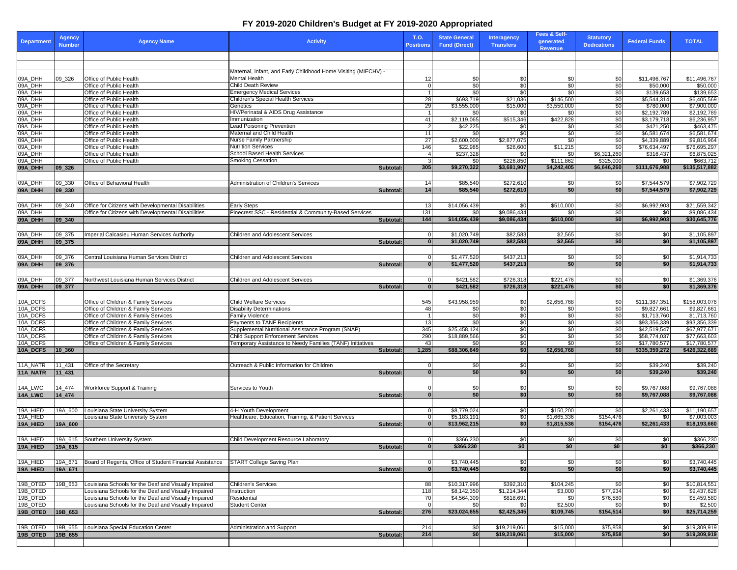## **FY 2019-2020 Children's Budget at FY 2019-2020 Appropriated**

| <b>Department</b>    | <b>Agency</b><br><b>Number</b> | <b>Agency Name</b>                                                           | <b>Activity</b>                                                                                 | T.O.<br><b>Positions</b> | <b>State General</b><br><b>Fund (Direct)</b> | Interagency<br><b>Transfers</b> | Fees & Self-<br>generated<br><b>Revenue</b> | <b>Statutory</b><br><b>Dedications</b> | <b>Federal Funds</b>         | <b>TOTAL</b>                 |
|----------------------|--------------------------------|------------------------------------------------------------------------------|-------------------------------------------------------------------------------------------------|--------------------------|----------------------------------------------|---------------------------------|---------------------------------------------|----------------------------------------|------------------------------|------------------------------|
|                      |                                |                                                                              |                                                                                                 |                          |                                              |                                 |                                             |                                        |                              |                              |
|                      |                                |                                                                              |                                                                                                 |                          |                                              |                                 |                                             |                                        |                              |                              |
|                      |                                |                                                                              | Maternal, Infant, and Early Childhood Home Visiting (MIECHV) -                                  |                          |                                              |                                 |                                             |                                        |                              |                              |
| 09A_DHH              | 09 326                         | Office of Public Health                                                      | Mental Health                                                                                   | 12                       | \$0                                          | \$0                             | \$0                                         | \$0                                    | \$11,496,767                 | \$11,496,767                 |
| 09A_DHH<br>09A_DHH   |                                | Office of Public Health<br>Office of Public Health                           | Child Death Review<br><b>Emergency Medical Services</b>                                         |                          | \$0<br>$\mathbf 0$<br>\$0                    | \$0<br>\$0                      | \$0<br>\$0                                  | \$0<br>\$0                             | \$50,000<br>\$139,653        | \$50,000<br>\$139,653        |
| 09A_DHH              |                                | Office of Public Health                                                      | Children's Special Health Services                                                              | 28                       | \$693,719                                    | \$21,036                        | \$146,500                                   | \$0                                    | \$5,544,314                  | \$6,405,569                  |
| 09A_DHH              |                                | Office of Public Health                                                      | Genetics                                                                                        | 29                       | \$3,555,000                                  | \$15,000                        | \$3,550,000                                 | \$0                                    | \$780,000                    | \$7,900,000                  |
| 09A_DHH              |                                | Office of Public Health                                                      | HIV/Perinatal & AIDS Drug Assistance                                                            |                          | \$0                                          | \$0                             | \$0                                         | \$0                                    | \$2,192,789                  | \$2,192,789                  |
| 09A DHH              |                                | Office of Public Health                                                      | mmunization                                                                                     | 41                       | \$2,119,065                                  | \$515,346                       | \$422,828                                   | \$0                                    | \$3,179,718                  | \$6,236,957                  |
| 09A_DHH              |                                | Office of Public Health                                                      | <b>Lead Poisoning Prevention</b>                                                                |                          | \$42,225<br>$\overline{2}$                   | \$0                             | \$0                                         | \$0                                    | \$421,250                    | \$463,475                    |
| 09A_DHH<br>09A_DHH   |                                | Office of Public Health<br>Office of Public Health                           | Maternal and Child Health<br>Nurse Family Partnership                                           | 11<br>27                 | \$0<br>\$2,600,000                           | \$0<br>\$2,877,075              | \$0<br>\$0                                  | \$0<br>\$0                             | \$6,581,674<br>\$4,339,889   | \$6,581,674<br>\$9,816,964   |
| 09A_DHH              |                                | Office of Public Health                                                      | <b>Nutrition Services</b>                                                                       | 146                      | \$22,985                                     | \$26,600                        | \$11,215                                    | \$0                                    | \$76,634,497                 | \$76,695,297                 |
| 09A_DHH              |                                | Office of Public Health                                                      | School Based Health Services                                                                    |                          | \$237,328<br>4                               | \$0                             | \$0                                         | \$6,321,260                            | \$316,437                    | \$6,875,025                  |
| 09A_DHH              |                                | Office of Public Health                                                      | Smoking Cessation                                                                               |                          | 3<br>\$0                                     | \$226,850                       | \$111,862                                   | \$325,000                              | \$0                          | \$663,712                    |
| 09A_DHH              | 09_326                         |                                                                              | Subtotal:                                                                                       | 305                      | \$9,270,322                                  | \$3,681,907                     | \$4,242,405                                 | \$6,646,260                            | \$111,676,988                | \$135,517,882                |
|                      |                                |                                                                              |                                                                                                 |                          |                                              |                                 |                                             |                                        |                              |                              |
| 09A_DHH              | 09_330                         | Office of Behavioral Health                                                  | Administration of Children's Services                                                           | 14                       | \$85,540                                     | \$272,610                       | \$0                                         | \$0                                    | \$7,544,579                  | \$7,902,729                  |
| 09A_DHH              | 09_330                         |                                                                              | Subtotal:                                                                                       | 14                       | \$85,540                                     | \$272,610                       | \$0                                         | \$0                                    | \$7,544,579                  | \$7,902,729                  |
|                      |                                |                                                                              |                                                                                                 |                          |                                              |                                 |                                             |                                        |                              |                              |
| 09A_DHH              | 09_340                         | Office for Citizens with Developmental Disabilities                          | <b>Early Steps</b>                                                                              | 13                       | \$14,056,439                                 | \$0                             | \$510,000                                   | \$0                                    | \$6,992,903                  | \$21,559,342                 |
| 09A_DHH              |                                | Office for Citizens with Developmental Disabilities                          | Pinecrest SSC - Residential & Community-Based Services                                          | 131                      | \$0                                          | \$9,086,434                     | \$0                                         | \$0                                    | \$0                          | \$9,086,434                  |
| 09A_DHH              | 09_340                         |                                                                              | Subtotal:                                                                                       | 144                      | \$14,056,439                                 | \$9,086,434                     | \$510,000                                   | \$0                                    | \$6,992,903                  | \$30,645,776                 |
|                      |                                |                                                                              |                                                                                                 |                          |                                              |                                 |                                             |                                        |                              |                              |
| 09A_DHH<br>09A_DHH   | 09_375<br>09_375               | mperial Calcasieu Human Services Authority                                   | Children and Adolescent Services<br>Subtotal:                                                   |                          | \$1,020,749<br>\$1,020,749<br>$\mathbf{0}$   | \$82,583<br>\$82,583            | \$2,565<br>\$2,565                          | \$0<br>\$0                             | \$0<br>\$0                   | \$1,105,897<br>\$1,105,897   |
|                      |                                |                                                                              |                                                                                                 |                          |                                              |                                 |                                             |                                        |                              |                              |
| 09A_DHH              | 09_376                         | Central Louisiana Human Services District                                    | <b>Children and Adolescent Services</b>                                                         |                          | \$1,477,520<br>0                             | \$437,213                       | \$0                                         | \$0                                    | \$0                          | \$1,914,733                  |
| 09A_DHH              | 09_376                         |                                                                              | Subtotal:                                                                                       |                          | $\mathbf{0}$<br>\$1,477,520                  | \$437,213                       | \$0                                         | \$0                                    | \$0                          | \$1,914,733                  |
|                      |                                |                                                                              |                                                                                                 |                          |                                              |                                 |                                             |                                        |                              |                              |
| 09A_DHH              | 09_377                         | Northwest Louisiana Human Services District                                  | <b>Children and Adolescent Services</b>                                                         |                          | \$421,582<br>0                               | \$726,318                       | \$221,476                                   | \$0                                    | \$0                          | \$1,369,376                  |
| 09A_DHH              | 09_377                         |                                                                              | Subtotal:                                                                                       |                          | \$421,582<br>$\bf{0}$                        | \$726,318                       | \$221,476                                   | \$0                                    | \$0                          | \$1,369,376                  |
|                      |                                |                                                                              |                                                                                                 |                          |                                              |                                 |                                             |                                        |                              |                              |
| 10A_DCFS             |                                | Office of Children & Family Services                                         | Child Welfare Services                                                                          | 545                      | \$43,958,959                                 | \$0                             | \$2,656,768                                 | \$0                                    | \$111,387,351                | \$158,003,078                |
| 10A_DCFS             |                                | Office of Children & Family Services                                         | <b>Disability Determinations</b>                                                                | 48                       | \$0                                          | \$0                             | \$0                                         | \$0                                    | \$9,827,661                  | \$9,827,661                  |
| 10A_DCFS             |                                | Office of Children & Family Services                                         | <b>Family Violence</b>                                                                          |                          | \$0                                          | \$0                             | \$0                                         | \$0                                    | \$1,713,760                  | \$1,713,760                  |
| 10A_DCFS             |                                | Office of Children & Family Services                                         | Payments to TANF Recipients                                                                     | 13                       | \$0                                          | \$0                             | \$0                                         | \$0                                    | \$93,356,339                 | \$93,356,339                 |
| 10A_DCFS             |                                | Office of Children & Family Services                                         | Supplemental Nutritional Assistance Program (SNAP)                                              | 345                      | \$25,458,124                                 | \$0                             | \$0                                         | \$0                                    | \$42,519,547                 | \$67,977,671                 |
| 10A_DCFS<br>10A DCFS |                                | Office of Children & Family Services<br>Office of Children & Family Services | Child Support Enforcement Services<br>Temporary Assistance to Needy Families (TANF) Initiatives | 290<br>43                | \$18,889,566<br>\$0                          | \$0<br>\$0                      | \$0<br>\$0                                  | \$0<br>\$0                             | \$58,774,037<br>\$17,780,577 | \$77,663,603<br>\$17,780,577 |
| 10A_DCFS             | 10 360                         |                                                                              | <b>Subtotal</b>                                                                                 | 1,285                    | \$88,306,649                                 | \$0                             | \$2,656,768                                 | \$0                                    | \$335,359,272                | \$426,322,689                |
|                      |                                |                                                                              |                                                                                                 |                          |                                              |                                 |                                             |                                        |                              |                              |
| 11A_NATR             | 11_431                         | Office of the Secretary                                                      | Outreach & Public Information for Children                                                      |                          | \$0                                          | \$0                             | \$0                                         | \$0                                    | \$39,240                     | \$39,240                     |
| 11A_NATR             | 11_431                         |                                                                              | <b>Subtotal</b>                                                                                 |                          | \$0<br>$\mathbf{0}$                          | \$0                             | \$0                                         | \$0                                    | \$39,240                     | \$39,240                     |
|                      |                                |                                                                              |                                                                                                 |                          |                                              |                                 |                                             |                                        |                              |                              |
| 14A_LWC              | 14 474                         | Workforce Support & Training                                                 | Services to Youth                                                                               |                          | \$0                                          | \$0                             | \$0                                         | \$0                                    | \$9,767,088                  | \$9,767,088                  |
| 14A_LWC              | 14_474                         |                                                                              | <b>Subtotal</b>                                                                                 |                          | \$0<br>$\bf{0}$                              | \$0                             | \$0                                         | \$0                                    | \$9,767,088                  | \$9,767,088                  |
|                      |                                |                                                                              |                                                                                                 |                          |                                              |                                 |                                             |                                        |                              |                              |
| 19A_HIED             | 19A_600                        | Louisiana State University System                                            | 4-H Youth Development                                                                           |                          | \$8,779,024                                  | \$0                             | \$150,200                                   | \$0                                    | \$2,261,433                  | \$11,190,657                 |
| 19A_HIED             |                                | Louisiana State University System                                            | Healthcare, Education, Training, & Patient Services                                             |                          | \$5,183,191<br>0                             | \$0                             | \$1,665,336                                 | \$154,476                              | \$0                          | \$7,003,003                  |
| 19A_HIED             | 19A_600                        |                                                                              | Subtotal:                                                                                       |                          | $\mathbf{0}$<br>\$13,962,215                 | \$0                             | \$1,815,536                                 | \$154,476                              | \$2,261,433                  | \$18,193,660                 |
|                      |                                |                                                                              |                                                                                                 |                          |                                              |                                 |                                             |                                        |                              |                              |
| 19A_HIED             | 19A_615                        | Southern University System                                                   | Child Development Resource Laboratory                                                           |                          | \$366,230<br>$\overline{0}$                  | \$0<br>\$0                      | \$0<br>\$0                                  | \$0                                    | \$0                          | \$366,230                    |
| 19A_HIED             | 19A_615                        |                                                                              | Subtotal:                                                                                       |                          | \$366,230                                    |                                 |                                             | \$0                                    | \$0                          | \$366,230                    |
|                      |                                | Board of Regents, Office of Student Financial Assistance                     |                                                                                                 |                          |                                              |                                 |                                             |                                        |                              |                              |
| 19A_HIED<br>19A_HIED | 19A_671<br>19A_671             |                                                                              | START College Saving Plan<br>Subtotal:                                                          |                          | \$3,740,445<br>\$3,740,445<br>$\bf{0}$       | \$0<br>\$0                      | \$0<br>\$0                                  | \$0<br>\$0                             | \$0<br>\$0                   | \$3,740,445<br>\$3,740,445   |
|                      |                                |                                                                              |                                                                                                 |                          |                                              |                                 |                                             |                                        |                              |                              |
| 19B_OTED             | 19B_653                        | Louisiana Schools for the Deaf and Visually Impaired                         | Children's Services                                                                             | 88                       | \$10,317,996                                 | \$392,310                       | \$104,245                                   | \$0                                    | \$0                          | \$10,814,551                 |
| 19B_OTED             |                                | Louisiana Schools for the Deaf and Visually Impaired                         | Instruction                                                                                     | 118                      | \$8,142,350                                  | \$1,214,344                     | \$3,000                                     | \$77,934                               | \$0                          | \$9,437,628                  |
| 19B_OTED             |                                | Louisiana Schools for the Deaf and Visually Impaired                         | Residential                                                                                     | 70                       | \$4,564,309                                  | \$818,691                       | \$0                                         | \$76,580                               | \$0                          | \$5.459.580                  |
| 19B_OTED             |                                | Louisiana Schools for the Deaf and Visually Impaired                         | <b>Student Center</b>                                                                           |                          | \$0<br>$\Omega$                              | \$0                             | \$2,500                                     | \$0                                    | \$0                          | \$2,500                      |
| 19B_OTED             | 19B 653                        |                                                                              | Subtotal:                                                                                       | 276                      | \$23,024,655                                 | \$2,425,345                     | \$109,745                                   | \$154,514                              | \$0                          | \$25,714,259                 |
|                      |                                |                                                                              |                                                                                                 |                          |                                              |                                 |                                             |                                        |                              |                              |
| 19B_OTED             |                                | 19B_655   Louisiana Special Education Center                                 | Administration and Support                                                                      | 214                      | \$0                                          | \$19,219,061                    | \$15,000                                    | \$75,858                               | \$0                          | \$19,309,919                 |
| 19B_OTED             | 19B_655                        |                                                                              | Subtotal:                                                                                       | 214                      | \$0                                          | \$19,219,061                    | \$15,000                                    | \$75,858                               | \$0                          | \$19,309,919                 |
|                      |                                |                                                                              |                                                                                                 |                          |                                              |                                 |                                             |                                        |                              |                              |